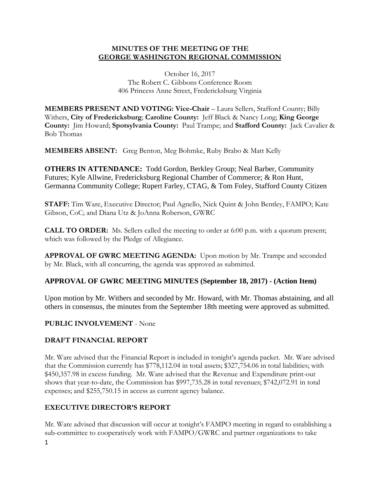## **MINUTES OF THE MEETING OF THE GEORGE WASHINGTON REGIONAL COMMISSION**

October 16, 2017 The Robert C. Gibbons Conference Room 406 Princess Anne Street, Fredericksburg Virginia

**MEMBERS PRESENT AND VOTING: Vice-Chair** – Laura Sellers, Stafford County; Billy Withers, **City of Fredericksburg**; **Caroline County:** Jeff Black & Nancy Long; **King George County:** Jim Howard; **Spotsylvania County:** Paul Trampe; and **Stafford County:** Jack Cavalier & Bob Thomas

**MEMBERS ABSENT:** Greg Benton, Meg Bohmke, Ruby Brabo & Matt Kelly

**OTHERS IN ATTENDANCE:** Todd Gordon, Berkley Group; Neal Barber, Community Futures; Kyle Allwine, Fredericksburg Regional Chamber of Commerce; & Ron Hunt, Germanna Community College; Rupert Farley, CTAG, & Tom Foley, Stafford County Citizen

**STAFF:** Tim Ware, Executive Director; Paul Agnello, Nick Quint & John Bentley, FAMPO; Kate Gibson, CoC; and Diana Utz & JoAnna Roberson, GWRC

**CALL TO ORDER:** Ms. Sellers called the meeting to order at 6:00 p.m. with a quorum present; which was followed by the Pledge of Allegiance.

**APPROVAL OF GWRC MEETING AGENDA:** Upon motion by Mr. Trampe and seconded by Mr. Black, with all concurring, the agenda was approved as submitted.

## **APPROVAL OF GWRC MEETING MINUTES (September 18, 2017) - (Action Item)**

Upon motion by Mr. Withers and seconded by Mr. Howard, with Mr. Thomas abstaining, and all others in consensus, the minutes from the September 18th meeting were approved as submitted.

## **PUBLIC INVOLVEMENT** - None

## **DRAFT FINANCIAL REPORT**

Mr. Ware advised that the Financial Report is included in tonight's agenda packet. Mr. Ware advised that the Commission currently has \$778,112.04 in total assets; \$327,754.06 in total liabilities; with \$450,357.98 in excess funding. Mr. Ware advised that the Revenue and Expenditure print-out shows that year-to-date, the Commission has \$997,735.28 in total revenues; \$742,072.91 in total expenses; and \$255,750.15 in access as current agency balance.

## **EXECUTIVE DIRECTOR'S REPORT**

Mr. Ware advised that discussion will occur at tonight's FAMPO meeting in regard to establishing a sub-committee to cooperatively work with FAMPO/GWRC and partner organizations to take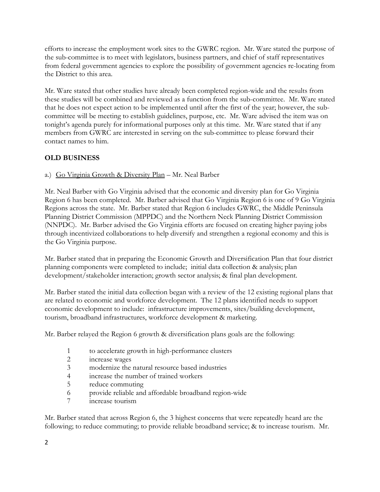efforts to increase the employment work sites to the GWRC region. Mr. Ware stated the purpose of the sub-committee is to meet with legislators, business partners, and chief of staff representatives from federal government agencies to explore the possibility of government agencies re-locating from the District to this area.

Mr. Ware stated that other studies have already been completed region-wide and the results from these studies will be combined and reviewed as a function from the sub-committee. Mr. Ware stated that he does not expect action to be implemented until after the first of the year; however, the subcommittee will be meeting to establish guidelines, purpose, etc. Mr. Ware advised the item was on tonight's agenda purely for informational purposes only at this time. Mr. Ware stated that if any members from GWRC are interested in serving on the sub-committee to please forward their contact names to him.

# **OLD BUSINESS**

a.) Go Virginia Growth & Diversity Plan – Mr. Neal Barber

Mr. Neal Barber with Go Virginia advised that the economic and diversity plan for Go Virginia Region 6 has been completed. Mr. Barber advised that Go Virginia Region 6 is one of 9 Go Virginia Regions across the state. Mr. Barber stated that Region 6 includes GWRC, the Middle Peninsula Planning District Commission (MPPDC) and the Northern Neck Planning District Commission (NNPDC). Mr. Barber advised the Go Virginia efforts are focused on creating higher paying jobs through incentivized collaborations to help diversify and strengthen a regional economy and this is the Go Virginia purpose.

Mr. Barber stated that in preparing the Economic Growth and Diversification Plan that four district planning components were completed to include; initial data collection & analysis; plan development/stakeholder interaction; growth sector analysis; & final plan development.

Mr. Barber stated the initial data collection began with a review of the 12 existing regional plans that are related to economic and workforce development. The 12 plans identified needs to support economic development to include: infrastructure improvements, sites/building development, tourism, broadband infrastructures, workforce development & marketing.

Mr. Barber relayed the Region 6 growth & diversification plans goals are the following:

- 1 to accelerate growth in high-performance clusters
- 2 increase wages
- 3 modernize the natural resource based industries
- 4 increase the number of trained workers
- 5 reduce commuting
- 6 provide reliable and affordable broadband region-wide
- 7 increase tourism

Mr. Barber stated that across Region 6, the 3 highest concerns that were repeatedly heard are the following; to reduce commuting; to provide reliable broadband service; & to increase tourism. Mr.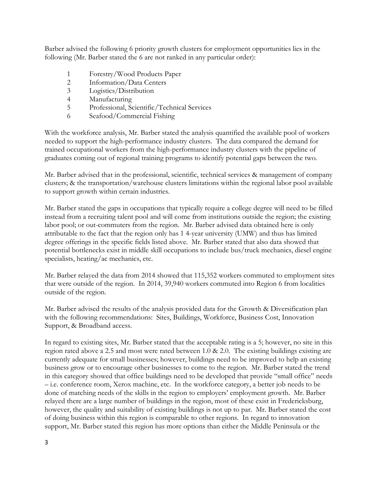Barber advised the following 6 priority growth clusters for employment opportunities lies in the following (Mr. Barber stated the 6 are not ranked in any particular order):

- 1 Forestry/Wood Products Paper
- 2 Information/Data Centers
- 3 Logistics/Distribution
- 4 Manufacturing
- 5 Professional, Scientific/Technical Services
- 6 Seafood/Commercial Fishing

With the workforce analysis, Mr. Barber stated the analysis quantified the available pool of workers needed to support the high-performance industry clusters. The data compared the demand for trained occupational workers from the high-performance industry clusters with the pipeline of graduates coming out of regional training programs to identify potential gaps between the two.

Mr. Barber advised that in the professional, scientific, technical services & management of company clusters; & the transportation/warehouse clusters limitations within the regional labor pool available to support growth within certain industries.

Mr. Barber stated the gaps in occupations that typically require a college degree will need to be filled instead from a recruiting talent pool and will come from institutions outside the region; the existing labor pool; or out-commuters from the region. Mr. Barber advised data obtained here is only attributable to the fact that the region only has 1 4-year university (UMW) and thus has limited degree offerings in the specific fields listed above. Mr. Barber stated that also data showed that potential bottlenecks exist in middle skill occupations to include bus/truck mechanics, diesel engine specialists, heating/ac mechanics, etc.

Mr. Barber relayed the data from 2014 showed that 115,352 workers commuted to employment sites that were outside of the region. In 2014, 39,940 workers commuted into Region 6 from localities outside of the region.

Mr. Barber advised the results of the analysis provided data for the Growth & Diversification plan with the following recommendations: Sites, Buildings, Workforce, Business Cost, Innovation Support, & Broadband access.

In regard to existing sites, Mr. Barber stated that the acceptable rating is a 5; however, no site in this region rated above a 2.5 and most were rated between 1.0 & 2.0. The existing buildings existing are currently adequate for small businesses; however, buildings need to be improved to help an existing business grow or to encourage other businesses to come to the region. Mr. Barber stated the trend in this category showed that office buildings need to be developed that provide "small office" needs – i.e. conference room, Xerox machine, etc. In the workforce category, a better job needs to be done of matching needs of the skills in the region to employers' employment growth. Mr. Barber relayed there are a large number of buildings in the region, most of these exist in Fredericksburg, however, the quality and suitability of existing buildings is not up to par. Mr. Barber stated the cost of doing business within this region is comparable to other regions. In regard to innovation support, Mr. Barber stated this region has more options than either the Middle Peninsula or the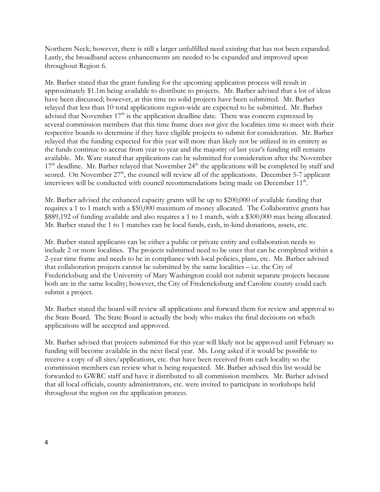Northern Neck; however, there is still a larger unfulfilled need existing that has not been expanded. Lastly, the broadband access enhancements are needed to be expanded and improved upon throughout Region 6.

Mr. Barber stated that the grant funding for the upcoming application process will result in approximately \$1.1m being available to distribute to projects. Mr. Barber advised that a lot of ideas have been discussed; however, at this time no solid projects have been submitted. Mr. Barber relayed that less than 10 total applications region-wide are expected to be submitted. Mr. Barber advised that November  $17<sup>th</sup>$  is the application deadline date. There was concern expressed by several commission members that this time frame does not give the localities time to meet with their respective boards to determine if they have eligible projects to submit for consideration. Mr. Barber relayed that the funding expected for this year will more than likely not be utilized in its entirety as the funds continue to accrue from year to year and the majority of last year's funding still remains available. Mr. Ware stated that applications can be submitted for consideration after the November  $17<sup>th</sup>$  deadline. Mr. Barber relayed that November  $24<sup>th</sup>$  the applications will be completed by staff and scored. On November  $27<sup>th</sup>$ , the council will review all of the applications. December 5-7 applicant interviews will be conducted with council recommendations being made on December 11<sup>th</sup>.

Mr. Barber advised the enhanced capacity grants will be up to \$200,000 of available funding that requires a 1 to 1 match with a \$50,000 maximum of money allocated. The Collaborative grants has \$889,192 of funding available and also requires a 1 to 1 match, with a \$300,000 max being allocated. Mr. Barber stated the 1 to 1 matches can be local funds, cash, in-kind donations, assets, etc.

Mr. Barber stated applicants can be either a public or private entity and collaboration needs to include 2 or more localities. The projects submitted need to be ones that can be completed within a 2-year time frame and needs to be in compliance with local policies, plans, etc. Mr. Barber advised that collaboration projects cannot be submitted by the same localities – i.e. the City of Fredericksburg and the University of Mary Washington could not submit separate projects because both are in the same locality; however, the City of Fredericksburg and Caroline county could each submit a project.

Mr. Barber stated the board will review all applications and forward them for review and approval to the State Board. The State Board is actually the body who makes the final decisions on which applications will be accepted and approved.

Mr. Barber advised that projects submitted for this year will likely not be approved until February so funding will become available in the next fiscal year. Ms. Long asked if it would be possible to receive a copy of all sites/applications, etc. that have been received from each locality so the commission members can review what is being requested. Mr. Barber advised this list would be forwarded to GWRC staff and have it distributed to all commission members. Mr. Barber advised that all local officials, county administrators, etc. were invited to participate in workshops held throughout the region on the application process.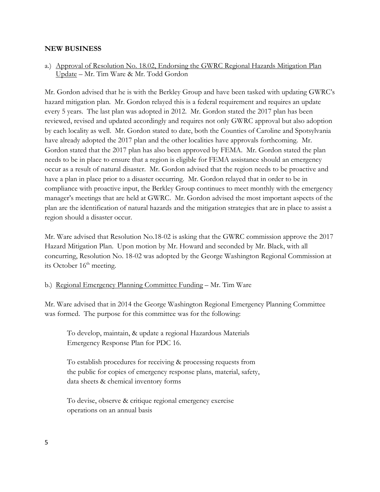#### **NEW BUSINESS**

a.) Approval of Resolution No. 18.02, Endorsing the GWRC Regional Hazards Mitigation Plan Update – Mr. Tim Ware & Mr. Todd Gordon

Mr. Gordon advised that he is with the Berkley Group and have been tasked with updating GWRC's hazard mitigation plan. Mr. Gordon relayed this is a federal requirement and requires an update every 5 years. The last plan was adopted in 2012. Mr. Gordon stated the 2017 plan has been reviewed, revised and updated accordingly and requires not only GWRC approval but also adoption by each locality as well. Mr. Gordon stated to date, both the Counties of Caroline and Spotsylvania have already adopted the 2017 plan and the other localities have approvals forthcoming. Mr. Gordon stated that the 2017 plan has also been approved by FEMA. Mr. Gordon stated the plan needs to be in place to ensure that a region is eligible for FEMA assistance should an emergency occur as a result of natural disaster. Mr. Gordon advised that the region needs to be proactive and have a plan in place prior to a disaster occurring. Mr. Gordon relayed that in order to be in compliance with proactive input, the Berkley Group continues to meet monthly with the emergency manager's meetings that are held at GWRC. Mr. Gordon advised the most important aspects of the plan are the identification of natural hazards and the mitigation strategies that are in place to assist a region should a disaster occur.

Mr. Ware advised that Resolution No.18-02 is asking that the GWRC commission approve the 2017 Hazard Mitigation Plan. Upon motion by Mr. Howard and seconded by Mr. Black, with all concurring, Resolution No. 18-02 was adopted by the George Washington Regional Commission at its October  $16<sup>th</sup>$  meeting.

#### b.) Regional Emergency Planning Committee Funding – Mr. Tim Ware

Mr. Ware advised that in 2014 the George Washington Regional Emergency Planning Committee was formed. The purpose for this committee was for the following:

To develop, maintain, & update a regional Hazardous Materials Emergency Response Plan for PDC 16.

To establish procedures for receiving & processing requests from the public for copies of emergency response plans, material, safety, data sheets & chemical inventory forms

To devise, observe & critique regional emergency exercise operations on an annual basis